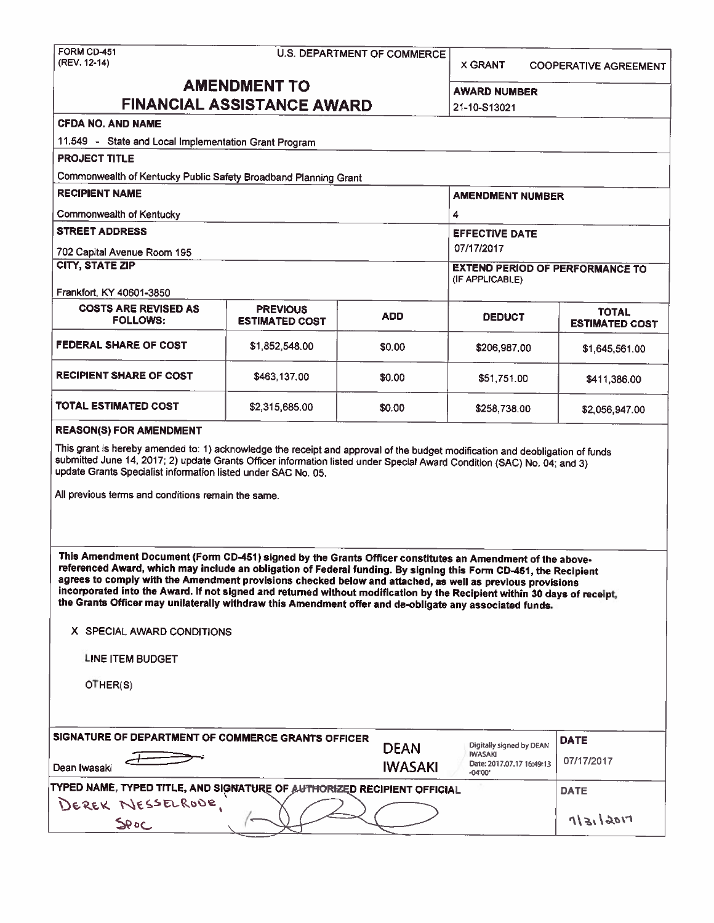# FORM CD-451 U.S. DEPARTMENT OF COMMERCE<br>(REV. 12-14)

X GRANT COOPERATIVE AGREEMENT

## **AMENDMENT TO FINANCIAL ASSISTANCE AWARD 22**

| WARD NUMBER |  |
|-------------|--|
| 1-10-S13021 |  |

## **CFDA NO. AND NAME**

| <b>PROJECT TITLE</b>                                            |                                          |                       |                                                           |                                       |  |
|-----------------------------------------------------------------|------------------------------------------|-----------------------|-----------------------------------------------------------|---------------------------------------|--|
| Commonwealth of Kentucky Public Safety Broadband Planning Grant |                                          |                       |                                                           |                                       |  |
| <b>RECIPIENT NAME</b>                                           |                                          |                       | <b>AMENDMENT NUMBER</b>                                   |                                       |  |
| Commonwealth of Kentucky                                        | 4                                        |                       |                                                           |                                       |  |
| <b>STREET ADDRESS</b>                                           |                                          | <b>EFFECTIVE DATE</b> |                                                           |                                       |  |
| 702 Capital Avenue Room 195                                     |                                          |                       | 07/17/2017                                                |                                       |  |
| <b>CITY, STATE ZIP</b>                                          |                                          |                       | <b>EXTEND PERIOD OF PERFORMANCE TO</b><br>(IF APPLICABLE) |                                       |  |
| Frankfort, KY 40601-3850                                        |                                          |                       |                                                           |                                       |  |
| <b>COSTS ARE REVISED AS</b><br><b>FOLLOWS:</b>                  | <b>PREVIOUS</b><br><b>ESTIMATED COST</b> | <b>ADD</b>            | <b>DEDUCT</b>                                             | <b>TOTAL</b><br><b>ESTIMATED COST</b> |  |
| <b>FEDERAL SHARE OF COST</b>                                    | \$1,852,548.00                           | \$0.00                | \$206,987,00                                              | \$1,645,561.00                        |  |
| <b>RECIPIENT SHARE OF COST</b>                                  | \$463,137.00                             | \$0.00                | \$51,751.00                                               | \$411,386.00                          |  |
| <b>TOTAL ESTIMATED COST</b>                                     | \$2,315,685.00                           | \$0.00                | \$258,738.00                                              | \$2,056,947.00                        |  |
| <b>REASON(S) FOR AMENDMENT</b>                                  |                                          |                       |                                                           |                                       |  |

update Grants Specialist information listed under SAC No. 05.

All previous terms and conditions remain the same.

**This Amendment Document (Fonn CD-451) signed by the Grants Officer constitutes an Amendment of the above•**  referenced **Award,** which may include an obligation of Federal funding. By signing this Fonn CD-451, the Recipient agrees to comply with the Amendment provisions checked below and attached, as well as previous provisions **Incorporated Into the Award, If not signed and returned without modification by the Recipient** within **30 days** of **receipt, the Grants Officer may unilaterally withdraw this Amendment offer and de-obligate any associated funds.** 

X SPECIAL AWARD CONDITIONS

LINE ITEM BUDGET

OTHER(S)

| SIGNATURE OF DEPARTMENT OF COMMERCE GRANTS OFFICER<br>Dean Iwasaki                                  | <b>DEAN</b><br><b>IWASAKI</b> | Digitally signed by DEAN<br><b>IWASAKI</b><br>Date: 2017.07.17 16:49:13<br>$-04'00'$ | <b>DATE</b><br>07/17/2017 |
|-----------------------------------------------------------------------------------------------------|-------------------------------|--------------------------------------------------------------------------------------|---------------------------|
| <b>TYPED NAME, TYPED TITLE, AND SIGNATURE OF AUTHORIZED RECIPIENT OFFICIAL</b><br>DEREK NESSELRODE. | <b>DATE</b>                   |                                                                                      |                           |
| SPOC                                                                                                |                               |                                                                                      | 7 31 9011                 |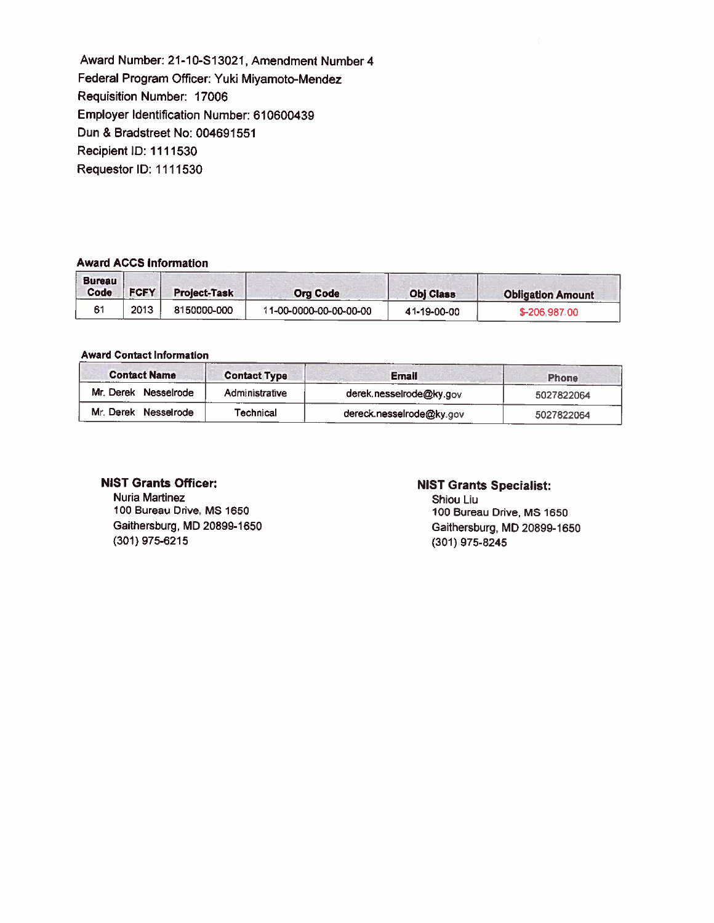Award Number: 21-10-S13021, Amendment Number 4 Federal Program Officer: Yuki Miyamoto-Mendez Requisition Number: 17006 Employer Identification Number: 610600439 Dun & Bradstreet No: 004691551 Recipient ID: 1111530 Requestor ID: 1111530

#### **Award ACCS Information**

| <b>Bureau</b><br>Code | <b>FCFY</b> | <b>Project-Task</b> | <b>Org Code</b>        | <b>Obj Class</b> | <b>Obligation Amount</b> |
|-----------------------|-------------|---------------------|------------------------|------------------|--------------------------|
|                       | 2013        | 8150000-000         | 11-00-0000-00-00-00-00 | 41-19-00-00      | \$-206,987.00            |

#### **Award Contact Information**

| <b>Contact Name</b>  | <b>Contact Type</b>   | <b>Email</b>             | <b>Phone</b> |
|----------------------|-----------------------|--------------------------|--------------|
| Mr. Derek Nesselrode | <b>Administrative</b> | derek.nesselrode@ky.gov  | 5027822064   |
| Mr. Derek Nesselrode | Technical             | dereck.nesselrode@ky.gov | 5027822064   |

#### **NIST Grants Officer:**

Nuria Martinez 100 Bureau Drive. MS 1650 Gaithersburg, MD 20899-1650 (301) 975-6215

#### **NIST Grants Specialist:**

Shiou Liu 100 Bureau Drive, MS 1650 Gaithersburg, MD 20899-1650 (301) 975-8245